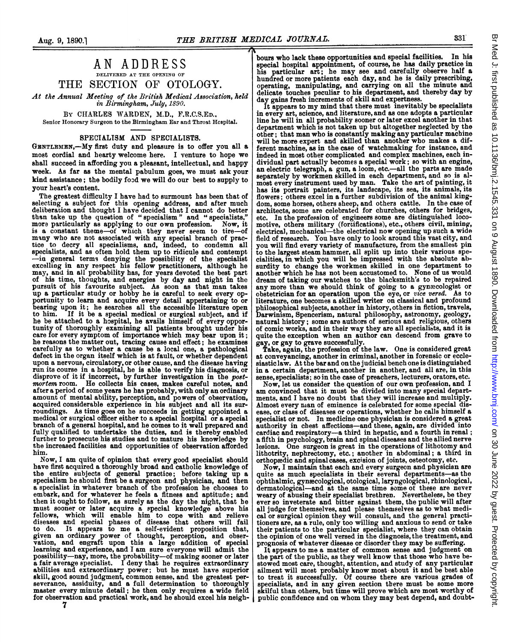## AN ADDRESS DELIVERED AT THE OPENING OF

THE SECTION OF OTOLOGY.

At the Annual Meetinq of the British Medical Association, held in Birmingham, July, 1890.

By CHARLES WARDEN, M.D., F.R.C.S.ED., Senior Honorary Surgeon to the Birmingham Ear and Throat Hospital.

## SPECIALISM AND SPECIALISTS.

GENTLEMEN,-My first duty and pleasure is to offer you all a most cordial and hearty welcome here. <sup>I</sup> venture to hope we shall succeed in affording you a pleasant, intellectual, and happy week. As far as the mental pabulum goes, we must ask your kind assistance; the bodily food we will do our best to supply to your heart's content.

The greatest difficulty <sup>I</sup> have had to surmount has been that of selecting a subject for this opening address, and after much deliberation and thought I have decided that I cannot do better<br>than take up the question of "specialism" and "specialists," more particularly as applying to our own profession. Now, it is a constant theme-of which they never seem to tire-of many who are not associated with any special branch of practice to decry all specialisms, and, indeed, to condemn all specialists, and as often hold them up to ridicule and contempt -in general terms denying the possibility of the specialist excelliog in any respect his fellow practitioners, although he may, and in all probability has, for years devoted the best part of his time, thoughts, and energies by day and night in the pursuit of his favourite subject. As soon as that man takes up a particular study or hobby he is careful to seek every opportunity to learn and acquire every detail appertaining to or bearing upon it; he searches all the accessible literature open to him. If it be a special medical or surgical subject, and if he be attached to a hospital, he avails himself of every oppor-tunity of thoroughly examining all patients brought under his care for every symptom of importance which may bear upon it; he reasons the matter out, tracing cause and effect; he examines carefully as to whether a cause be a local one, a pathological defect in the organ itself which is at fault, or whether dependent upon a nervous, circulatory, or other cause, and the disease having<br>run its course in a hospital, he is able to verify his diagnosis, or<br>disprove of it if incorrect, by further investigation in the *post*-<br>mortem room. He after a period of some years he has probably, with only an ordinary amount of mental ability, perception, and powers of observation, acquired considerable experience in his subject and all its surroundings. As time goes on he succeeds in getting appointed a medical or surgical officer either to a special hospital or a special branch of a general hospital, and he comes to it well prepared and fully qualified to undertake the duties, and is thereby enabled further to prosecute his studies and to mature his knowledge by the increased facilities and opportunities of observation afforded him.

Now, <sup>I</sup> am quite of opinion that every good specialist should have first acquired a thoroughly broad and catholic knowledge of the entire subjects of general practice; before taking up a specialism he should first be a surgeon and physician, and then a specialist in whatever branch of the profession he chooses to embark, and for whatever he feels a fitness and aptitude; and then it ought to follow, as surely as the day the night, that he must sooner or later acquire a special knowledge above his fellows, which will enable him to cope with and relieve<br>diseases and special phases of disease that others will fail<br>to do. It appears to me a self-evident proposition that,<br>given an ordinary power of thought, perception, learning and experience, and <sup>I</sup> am sure everyone will admit the possibility-nay, more, the probability-of making sooner or later a fair average specialist. <sup>I</sup> deny that he requires extraordinary abilities and extraordinary power; but he must have superior skill, good sound judgment, common sense, and the greatest perseverance, assiduity, and a full determination to thoroughly master every minute detail; he then only requires a wide field for observation and practical work, and he should excel his neighbours who lack these opportunities and special facilities. In his special hospital appointment, of course, he has daily practice in his particular art; he may see and carefully observe half a hundred or more patients each day, and he is daily prescribing, operating, manipulating, and carrying on all the minute and delicate touches peculiar to his department, and thereby day by day gains fresh increments of skill and expertness.

It appears to my mind that there must inevitably be specialists in every art, science, and literature, and as one adopts a particular line he will in all probability sooner or later excel another in that department which is not taken up but altogether neglected by the other; that man who is constantly making any particular machine will be more expert and skilled than another who makes a different machine, as in the case of watchmaking for instance, and indeed in most other complicated and complex machines, each individual part actually becomes a special work; so with an engine, an electric telegraph, a gun, a loom, etc.--all the parts are made separately by workmen skilled in each department, and so is al-most every instrument used by man. Take the art of painting, it has its portrait painters, its landscape, its sea, its animals, its flowers; others excel in a further subdivision of the animal kingdom, some horses, others sheep, and others cattle. In the case of architects, some are celebrated for churches, others for bridges, etc. In the profession of engineers some are distinguished locomotive, others military (fortifications), etc., others civil, mining, electrical, mechanical-the electrical now opening up such <sup>a</sup> wide field of research. You have only to look around this vast city, and you will find every variety of manufacture, from the smallest pin to the largest steam hammer, all split up into their various specialities, in which you will be impressed with the absolute absurdity to change the workmen skilled in one department to another which he has not been accustomed to. None of us would dream of taking our watches to the blacksmith's to be repaired any more than we should think of going to a gynæcologist or obstetrician for an operation upon the eye, or *vice versd*. As to literature, one becomes a skilled writer on classical and profound philosophical subjects, another in history, others in fiction, travels, Darwinism, Spencerism, natural philosophy, astronomy, geology, natural history; some are authors of serious and religious, others of comic works, and in their way they are all specialists, and it is quite the exception when an author can descend from grave to

gay, or gay to grave successfully. Take, again, the profession of the law. One is considered great at conveyancing, another in criminal, another in forensic or ecclesiasticlaw. At the bar and onthe judicial bench one is distinguished in a certain department, another in another, and all are, in this

sense, specialists; so in the case of preachers, lecturers, orators, etc. Now, let us consider the question of our own profession, and <sup>I</sup> am convinced that it must be divided into many special depart-ments, and <sup>I</sup> have no doubt that they will increase and multiply. Almost every man of eminence is celebrated for some special disease, or class of diseases or operations, whether he calls himself a specialist or not. In medicine one physician is considered a great authority in chest affections-and these, again, are divided into cardiac and respiratory-a third in hepatic, and a fourth in renal ; a fifth in psychology, brain and spinal diseases and the allied nerve lesions. One surgeon is great in the operations of lithotomy and lithotrity, nephrectomy, etc.; another in abdominal; a third in orthopædic and spinal cases, excision of joints, osteotomy, etc.

Now, <sup>I</sup> maintain that each and every surgeon and physician are quite as much specialists in their several departments-as the ophthalmic, gynmcological, otological, laryngological, rhinological, dermatological-and at the same time some of these are never weary of abusing their specialist brethren. Nevertheless, be they ever so inveterate and bitter against them, the public will after all judge for themselves, and please themselves as to wbat medical or surgical opinion they will consult, and the general practitioners are, as a rule, only too willing and anxious to send or take<br>their patients to the particular specialist, where they can obtain<br>the opinion of one well versed in the diagnosis, the treatment, and prognosis of whatever disease or disorder they may be suffering.

It appears to me <sup>a</sup> matter of common sense and judgment on the part of the public, as they well know that those who have be-stowed most care, thought, attention, and study of any particular stowed most care, thought, attention, and study of any particular ailment will most probably know most about it and be best able to treat it successfully. Of course there are various grades of specialists, and in any given section there must be some more skilful than others, but time will prove which are most worthy of public confidence and on whom they may best depend, and doubt